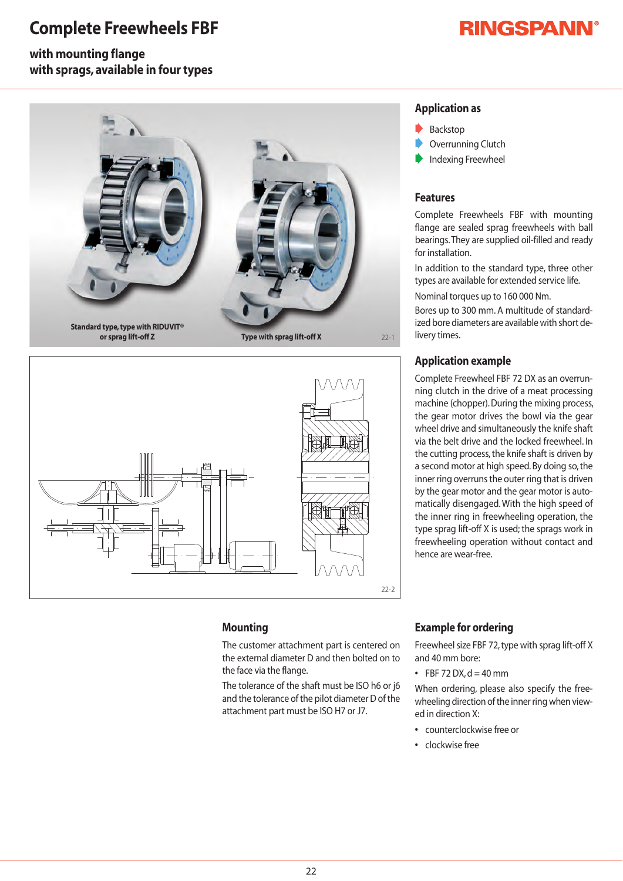### **Complete Freewheels FBF**

## **RINGSPANN®**

**with mounting flange with sprags, available in fourtypes**





#### **Mounting**

The customer attachment part is centered on the external diameter D and then bolted on to the face via the flange.

The tolerance of the shaft must be ISO h6 or j6 and the tolerance of the pilot diameter D of the attachment part must be ISO H7 or J7.

#### **Application as**



- Overrunning Clutch
- ➧ Indexing Freewheel

#### **Features**

Complete Freewheels FBF with mounting flange are sealed sprag freewheels with ball bearings. They are supplied oil-filled and ready for installation.

In addition to the standard type, three other types are available for extended service life.

Nominal torques up to 160 000 Nm.

Bores up to 300 mm. A multitude of standardized bore diameters are available with short delivery times.

#### **Application example**

Complete Freewheel FBF 72 DX as an overrunning clutch in the drive of a meat processing machine (chopper). During the mixing process, the gear motor drives the bowl via the gear wheel drive and simultaneously the knife shaft via the belt drive and the locked freewheel. In the cutting process, the knife shaft is driven by a second motor at high speed. By doing so, the inner ring overruns the outer ring that is driven by the gear motor and the gear motor is automatically disengaged. With the high speed of the inner ring in freewheeling operation, the type sprag lift-off X is used; the sprags work in freewheeling operation without contact and hence are wear-free.

#### **Example for ordering**

Freewheel size FBF 72, type with sprag lift-off X and 40 mm bore:

 $\cdot$  FBF 72 DX,  $d = 40$  mm

When ordering, please also specify the freewheeling direction of the inner ring when viewed in direction X:

- **•** counterclockwise free or
- **•** clockwise free